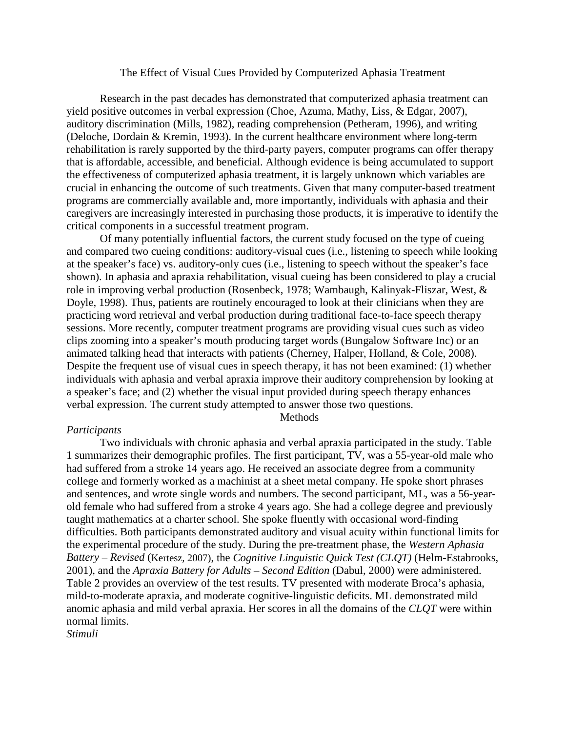#### The Effect of Visual Cues Provided by Computerized Aphasia Treatment

Research in the past decades has demonstrated that computerized aphasia treatment can yield positive outcomes in verbal expression (Choe, Azuma, Mathy, Liss, & Edgar, 2007), auditory discrimination (Mills, 1982), reading comprehension (Petheram, 1996), and writing (Deloche, Dordain & Kremin, 1993). In the current healthcare environment where long-term rehabilitation is rarely supported by the third-party payers, computer programs can offer therapy that is affordable, accessible, and beneficial. Although evidence is being accumulated to support the effectiveness of computerized aphasia treatment, it is largely unknown which variables are crucial in enhancing the outcome of such treatments. Given that many computer-based treatment programs are commercially available and, more importantly, individuals with aphasia and their caregivers are increasingly interested in purchasing those products, it is imperative to identify the critical components in a successful treatment program.

Of many potentially influential factors, the current study focused on the type of cueing and compared two cueing conditions: auditory-visual cues (i.e., listening to speech while looking at the speaker's face) vs. auditory-only cues (i.e., listening to speech without the speaker's face shown). In aphasia and apraxia rehabilitation, visual cueing has been considered to play a crucial role in improving verbal production (Rosenbeck, 1978; Wambaugh, Kalinyak-Fliszar, West, & Doyle, 1998). Thus, patients are routinely encouraged to look at their clinicians when they are practicing word retrieval and verbal production during traditional face-to-face speech therapy sessions. More recently, computer treatment programs are providing visual cues such as video clips zooming into a speaker's mouth producing target words (Bungalow Software Inc) or an animated talking head that interacts with patients (Cherney, Halper, Holland, & Cole, 2008). Despite the frequent use of visual cues in speech therapy, it has not been examined: (1) whether individuals with aphasia and verbal apraxia improve their auditory comprehension by looking at a speaker's face; and (2) whether the visual input provided during speech therapy enhances verbal expression. The current study attempted to answer those two questions.

Methods

### *Participants*

Two individuals with chronic aphasia and verbal apraxia participated in the study. Table 1 summarizes their demographic profiles. The first participant, TV, was a 55-year-old male who had suffered from a stroke 14 years ago. He received an associate degree from a community college and formerly worked as a machinist at a sheet metal company. He spoke short phrases and sentences, and wrote single words and numbers. The second participant, ML, was a 56-yearold female who had suffered from a stroke 4 years ago. She had a college degree and previously taught mathematics at a charter school. She spoke fluently with occasional word-finding difficulties. Both participants demonstrated auditory and visual acuity within functional limits for the experimental procedure of the study. During the pre-treatment phase, the *Western Aphasia Battery – Revised* (Kertesz, 2007), the *Cognitive Linguistic Quick Test (CLQT)* (Helm-Estabrooks, 2001), and the *Apraxia Battery for Adults – Second Edition* (Dabul, 2000) were administered. Table 2 provides an overview of the test results. TV presented with moderate Broca's aphasia, mild-to-moderate apraxia, and moderate cognitive-linguistic deficits. ML demonstrated mild anomic aphasia and mild verbal apraxia. Her scores in all the domains of the *CLQT* were within normal limits.

*Stimuli*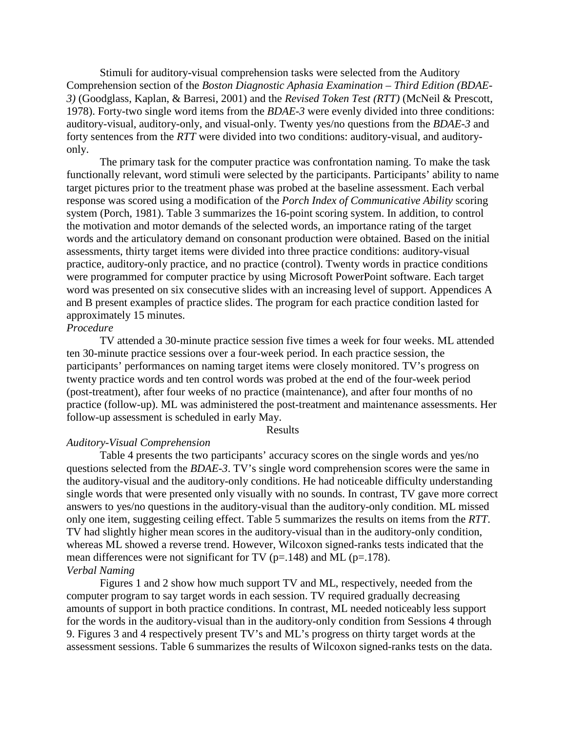Stimuli for auditory-visual comprehension tasks were selected from the Auditory Comprehension section of the *Boston Diagnostic Aphasia Examination – Third Edition (BDAE-3)* (Goodglass, Kaplan, & Barresi, 2001) and the *Revised Token Test (RTT)* (McNeil & Prescott, 1978). Forty-two single word items from the *BDAE-3* were evenly divided into three conditions: auditory-visual, auditory-only, and visual-only. Twenty yes/no questions from the *BDAE-3* and forty sentences from the *RTT* were divided into two conditions: auditory-visual, and auditoryonly.

The primary task for the computer practice was confrontation naming. To make the task functionally relevant, word stimuli were selected by the participants. Participants' ability to name target pictures prior to the treatment phase was probed at the baseline assessment. Each verbal response was scored using a modification of the *Porch Index of Communicative Ability* scoring system (Porch, 1981). Table 3 summarizes the 16-point scoring system. In addition, to control the motivation and motor demands of the selected words, an importance rating of the target words and the articulatory demand on consonant production were obtained. Based on the initial assessments, thirty target items were divided into three practice conditions: auditory-visual practice, auditory-only practice, and no practice (control). Twenty words in practice conditions were programmed for computer practice by using Microsoft PowerPoint software. Each target word was presented on six consecutive slides with an increasing level of support. Appendices A and B present examples of practice slides. The program for each practice condition lasted for approximately 15 minutes.

### *Procedure*

TV attended a 30-minute practice session five times a week for four weeks. ML attended ten 30-minute practice sessions over a four-week period. In each practice session, the participants' performances on naming target items were closely monitored. TV's progress on twenty practice words and ten control words was probed at the end of the four-week period (post-treatment), after four weeks of no practice (maintenance), and after four months of no practice (follow-up). ML was administered the post-treatment and maintenance assessments. Her follow-up assessment is scheduled in early May.

#### Results

### *Auditory-Visual Comprehension*

Table 4 presents the two participants' accuracy scores on the single words and yes/no questions selected from the *BDAE-3*. TV's single word comprehension scores were the same in the auditory-visual and the auditory-only conditions. He had noticeable difficulty understanding single words that were presented only visually with no sounds. In contrast, TV gave more correct answers to yes/no questions in the auditory-visual than the auditory-only condition. ML missed only one item, suggesting ceiling effect. Table 5 summarizes the results on items from the *RTT*. TV had slightly higher mean scores in the auditory-visual than in the auditory-only condition, whereas ML showed a reverse trend. However, Wilcoxon signed-ranks tests indicated that the mean differences were not significant for TV ( $p=148$ ) and ML ( $p=178$ ). *Verbal Naming*

Figures 1 and 2 show how much support TV and ML, respectively, needed from the computer program to say target words in each session. TV required gradually decreasing amounts of support in both practice conditions. In contrast, ML needed noticeably less support for the words in the auditory-visual than in the auditory-only condition from Sessions 4 through 9. Figures 3 and 4 respectively present TV's and ML's progress on thirty target words at the assessment sessions. Table 6 summarizes the results of Wilcoxon signed-ranks tests on the data.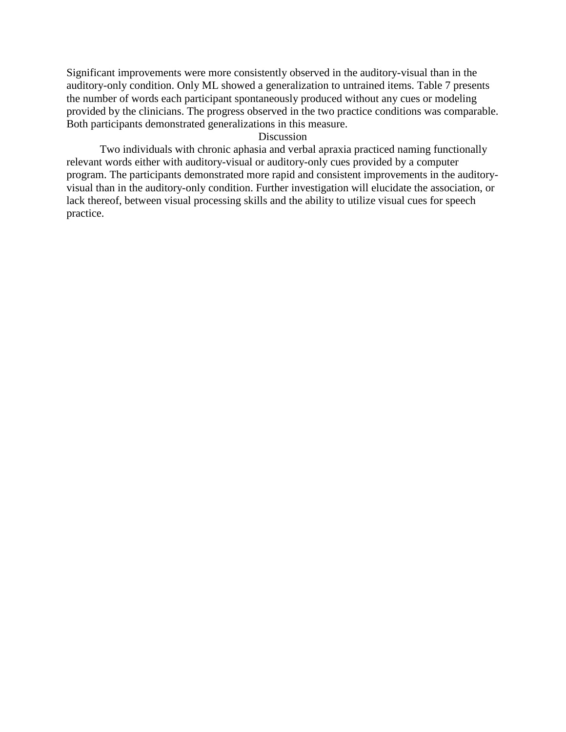Significant improvements were more consistently observed in the auditory-visual than in the auditory-only condition. Only ML showed a generalization to untrained items. Table 7 presents the number of words each participant spontaneously produced without any cues or modeling provided by the clinicians. The progress observed in the two practice conditions was comparable. Both participants demonstrated generalizations in this measure.

### Discussion

Two individuals with chronic aphasia and verbal apraxia practiced naming functionally relevant words either with auditory-visual or auditory-only cues provided by a computer program. The participants demonstrated more rapid and consistent improvements in the auditoryvisual than in the auditory-only condition. Further investigation will elucidate the association, or lack thereof, between visual processing skills and the ability to utilize visual cues for speech practice.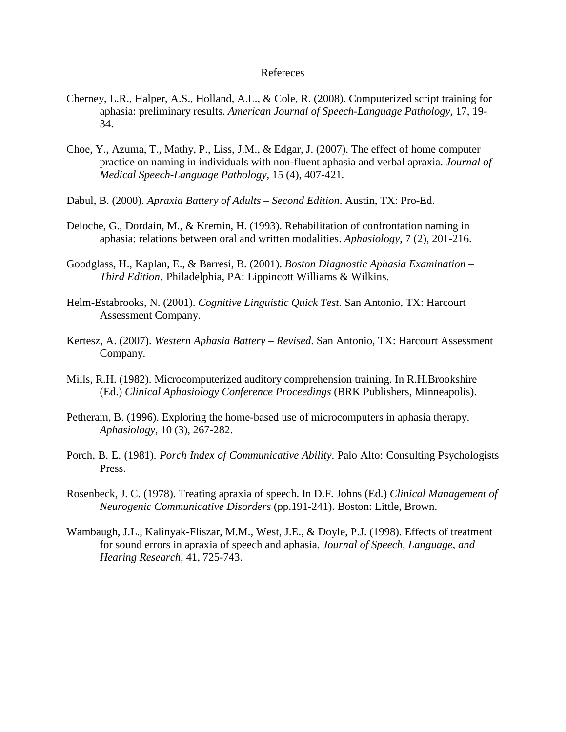#### Refereces

- Cherney, L.R., Halper, A.S., Holland, A.L., & Cole, R. (2008). Computerized script training for aphasia: preliminary results. *American Journal of Speech-Language Pathology*, 17, 19- 34.
- Choe, Y., Azuma, T., Mathy, P., Liss, J.M., & Edgar, J. (2007). The effect of home computer practice on naming in individuals with non-fluent aphasia and verbal apraxia. *Journal of Medical Speech-Language Pathology,* 15 (4), 407-421*.*
- Dabul, B. (2000). *Apraxia Battery of Adults – Second Edition*. Austin, TX: Pro-Ed.
- Deloche, G., Dordain, M., & Kremin, H. (1993). Rehabilitation of confrontation naming in aphasia: relations between oral and written modalities. *Aphasiology*, 7 (2), 201-216.
- Goodglass, H., Kaplan, E., & Barresi, B. (2001). *Boston Diagnostic Aphasia Examination – Third Edition*. Philadelphia, PA: Lippincott Williams & Wilkins.
- Helm-Estabrooks, N. (2001). *Cognitive Linguistic Quick Test*. San Antonio, TX: Harcourt Assessment Company.
- Kertesz, A. (2007). *Western Aphasia Battery – Revised*. San Antonio, TX: Harcourt Assessment Company.
- Mills, R.H. (1982). Microcomputerized auditory comprehension training. In R.H.Brookshire (Ed.) *Clinical Aphasiology Conference Proceedings* (BRK Publishers, Minneapolis).
- Petheram, B. (1996). Exploring the home-based use of microcomputers in aphasia therapy. *Aphasiology*, 10 (3), 267-282.
- Porch, B. E. (1981). *Porch Index of Communicative Ability*. Palo Alto: Consulting Psychologists Press.
- Rosenbeck, J. C. (1978). Treating apraxia of speech. In D.F. Johns (Ed.) *Clinical Management of Neurogenic Communicative Disorders* (pp.191-241). Boston: Little, Brown.
- Wambaugh, J.L., Kalinyak-Fliszar, M.M., West, J.E., & Doyle, P.J. (1998). Effects of treatment for sound errors in apraxia of speech and aphasia. *Journal of Speech, Language, and Hearing Research*, 41, 725-743.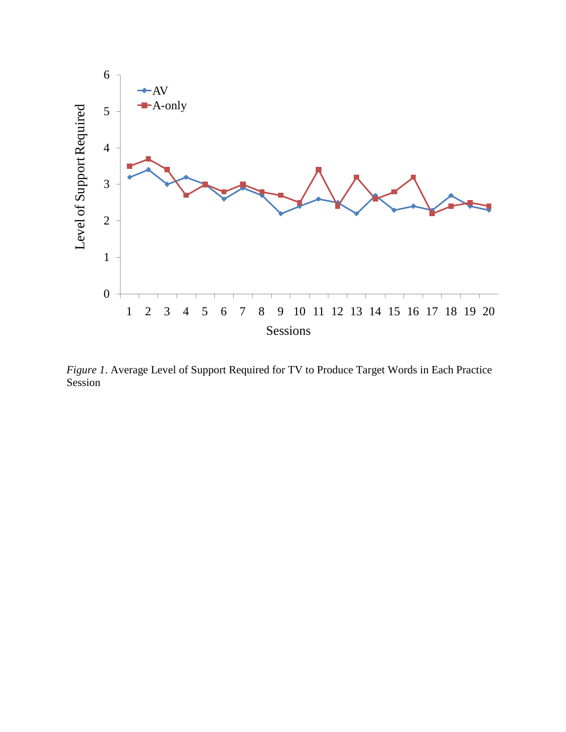

*Figure 1*. Average Level of Support Required for TV to Produce Target Words in Each Practice Session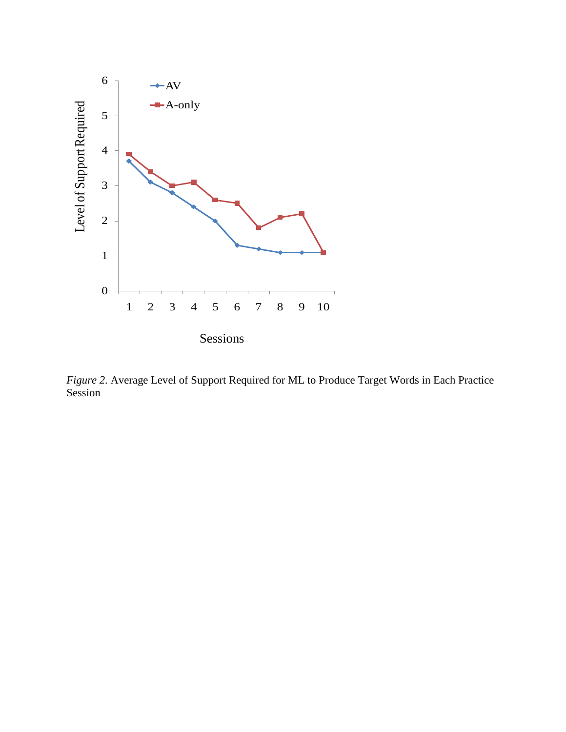

*Figure 2*. Average Level of Support Required for ML to Produce Target Words in Each Practice Session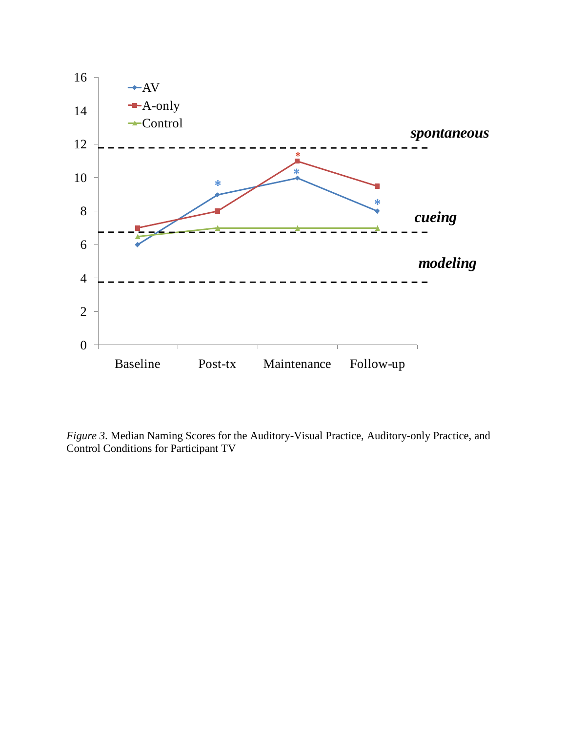

*Figure 3*. Median Naming Scores for the Auditory-Visual Practice, Auditory-only Practice, and Control Conditions for Participant TV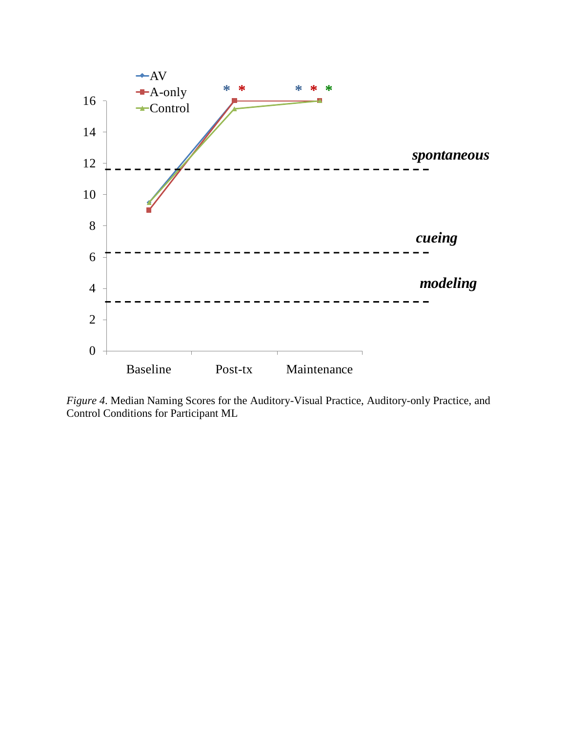

*Figure 4*. Median Naming Scores for the Auditory-Visual Practice, Auditory-only Practice, and Control Conditions for Participant ML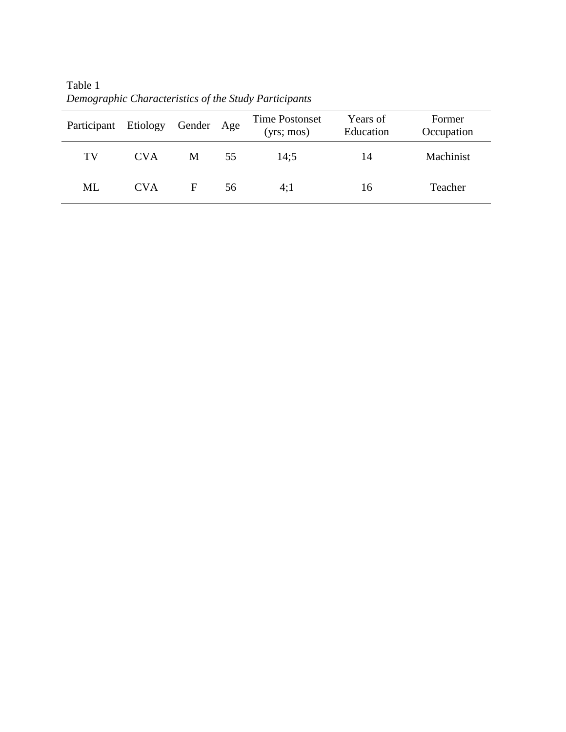| Participant Etiology |            | Gender Age |    | Time Postonset<br>(yrs; mos) | Years of<br>Education | Former<br>Occupation |
|----------------------|------------|------------|----|------------------------------|-----------------------|----------------------|
| TV                   | <b>CVA</b> | M          | 55 | 14:5                         | 14                    | Machinist            |
| ML                   | <b>CVA</b> | F          | 56 | 4:1                          | 16                    | Teacher              |

Table 1 *Demographic Characteristics of the Study Participants*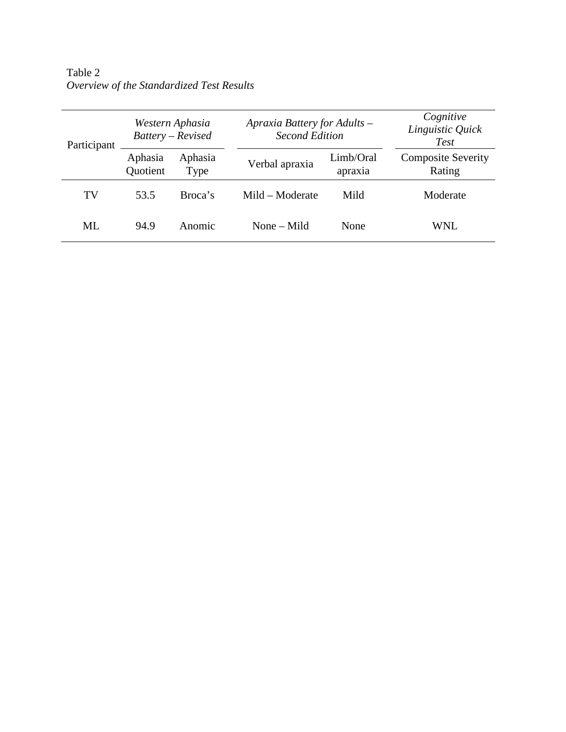Table 2 *Overview of the Standardized Test Results* 

| Participant | Western Aphasia<br>Battery - Revised |                 |                 | Apraxia Battery for Adults -<br><b>Second Edition</b> |                                     |  |
|-------------|--------------------------------------|-----------------|-----------------|-------------------------------------------------------|-------------------------------------|--|
|             | Aphasia<br>Quotient                  | Aphasia<br>Type | Verbal apraxia  | Limb/Oral<br>apraxia                                  | <b>Composite Severity</b><br>Rating |  |
| TV          | 53.5                                 | Broca's         | Mild – Moderate | Mild                                                  | Moderate                            |  |
| ML          | 94.9                                 | Anomic          | None $-$ Mild   | None                                                  | WNL.                                |  |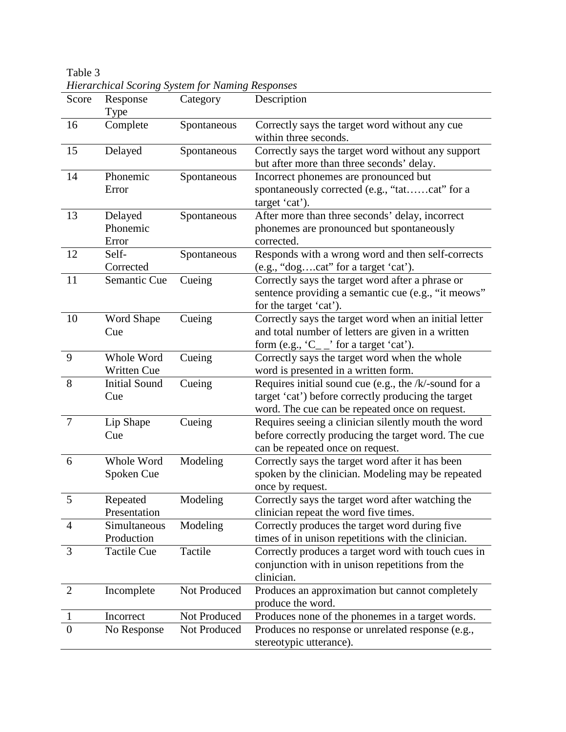Table 3 *Hierarchical Scoring System for Naming Responses* 

| Score          | Response<br>Type             | Category     | Description                                                                                                                                                    |
|----------------|------------------------------|--------------|----------------------------------------------------------------------------------------------------------------------------------------------------------------|
| 16             | Complete                     | Spontaneous  | Correctly says the target word without any cue<br>within three seconds.                                                                                        |
| 15             | Delayed                      | Spontaneous  | Correctly says the target word without any support<br>but after more than three seconds' delay.                                                                |
| 14             | Phonemic<br>Error            | Spontaneous  | Incorrect phonemes are pronounced but<br>spontaneously corrected (e.g., "tatcat" for a<br>target 'cat').                                                       |
| 13             | Delayed<br>Phonemic<br>Error | Spontaneous  | After more than three seconds' delay, incorrect<br>phonemes are pronounced but spontaneously<br>corrected.                                                     |
| 12             | Self-<br>Corrected           | Spontaneous  | Responds with a wrong word and then self-corrects<br>(e.g., "dogcat" for a target 'cat').                                                                      |
| 11             | Semantic Cue                 | Cueing       | Correctly says the target word after a phrase or<br>sentence providing a semantic cue (e.g., "it meows"<br>for the target 'cat').                              |
| 10             | Word Shape<br>Cue            | Cueing       | Correctly says the target word when an initial letter<br>and total number of letters are given in a written<br>form (e.g., $C_{-}$ ' for a target 'cat').      |
| 9              | Whole Word<br>Written Cue    | Cueing       | Correctly says the target word when the whole<br>word is presented in a written form.                                                                          |
| 8              | <b>Initial Sound</b><br>Cue  | Cueing       | Requires initial sound cue (e.g., the /k/-sound for a<br>target 'cat') before correctly producing the target<br>word. The cue can be repeated once on request. |
| 7              | Lip Shape<br>Cue             | Cueing       | Requires seeing a clinician silently mouth the word<br>before correctly producing the target word. The cue<br>can be repeated once on request.                 |
| 6              | Whole Word<br>Spoken Cue     | Modeling     | Correctly says the target word after it has been<br>spoken by the clinician. Modeling may be repeated<br>once by request.                                      |
| 5              | Repeated<br>Presentation     | Modeling     | Correctly says the target word after watching the<br>clinician repeat the word five times.                                                                     |
| $\overline{4}$ | Simultaneous<br>Production   | Modeling     | Correctly produces the target word during five<br>times of in unison repetitions with the clinician.                                                           |
| 3              | <b>Tactile Cue</b>           | Tactile      | Correctly produces a target word with touch cues in<br>conjunction with in unison repetitions from the<br>clinician.                                           |
| 2              | Incomplete                   | Not Produced | Produces an approximation but cannot completely<br>produce the word.                                                                                           |
| $\mathbf{1}$   | Incorrect                    | Not Produced | Produces none of the phonemes in a target words.                                                                                                               |
| $\overline{0}$ | No Response                  | Not Produced | Produces no response or unrelated response (e.g.,<br>stereotypic utterance).                                                                                   |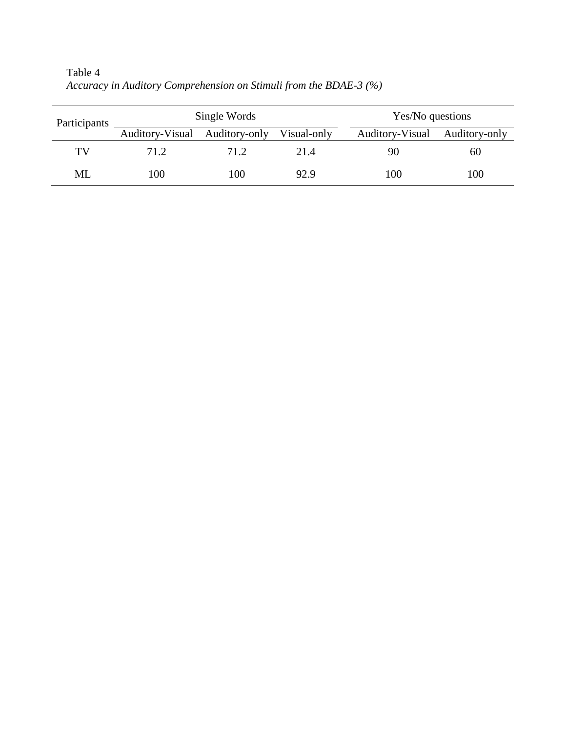| Participants |                 | Single Words  | Yes/No questions |                 |               |
|--------------|-----------------|---------------|------------------|-----------------|---------------|
|              | Auditory-Visual | Auditory-only | Visual-only      | Auditory-Visual | Auditory-only |
| TV           | 71.2            | 71.2          | 21.4             | 90              | 60            |
| ML           | 100             | 100           | 92.9             | 100             | 100           |

Table 4 *Accuracy in Auditory Comprehension on Stimuli from the BDAE-3 (%)*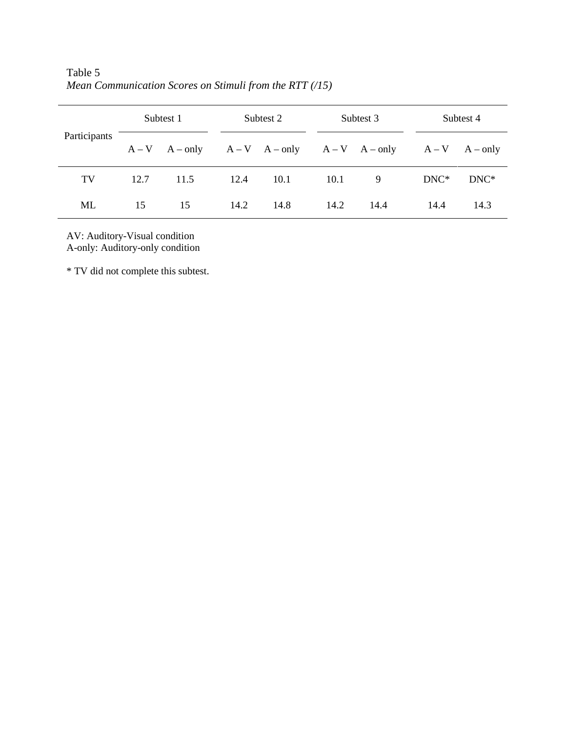| Participants | Subtest 1 |      |      | Subtest 2 |      | Subtest 3 |                                                             | Subtest 4 |  |
|--------------|-----------|------|------|-----------|------|-----------|-------------------------------------------------------------|-----------|--|
|              |           |      |      |           |      |           | $A-V$ $A-only$ $A-V$ $A-only$ $A-V$ $A-only$ $A-V$ $A-only$ |           |  |
| TV           | 12.7      | 11.5 | 12.4 | 10.1      | 10.1 | 9         | $DNC*$                                                      | $DNC*$    |  |
| ML           | 15        | 15   | 14.2 | 14.8      | 14.2 | 14.4      | 14.4                                                        | 14.3      |  |

Table 5 *Mean Communication Scores on Stimuli from the RTT (/15)*

AV: Auditory-Visual condition A-only: Auditory-only condition

\* TV did not complete this subtest.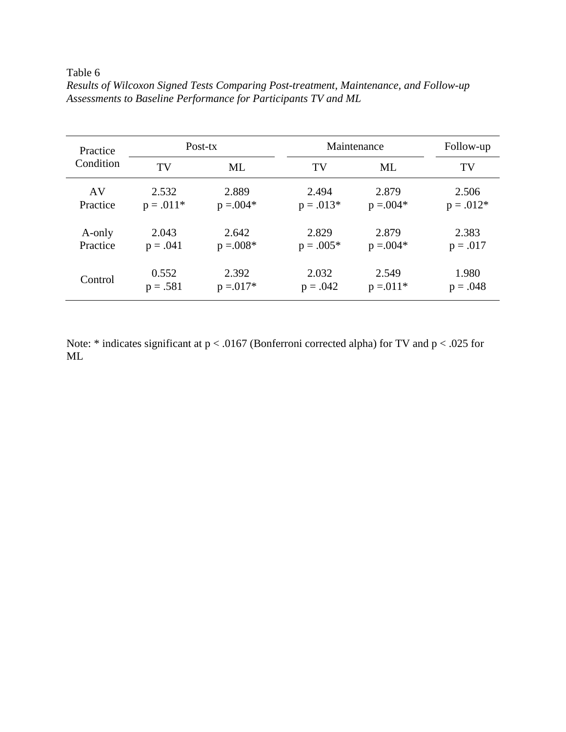Table 6

| Practice<br>Condition |             | Post-tx      | Maintenance | Follow-up    |             |
|-----------------------|-------------|--------------|-------------|--------------|-------------|
|                       | TV          | ML           | TV          | ML           | TV          |
| AV                    | 2.532       | 2.889        | 2.494       | 2.879        | 2.506       |
| Practice              | $p = .011*$ | $p = 0.004*$ | $p = .013*$ | $p = 0.004*$ | $p = .012*$ |
| A-only                | 2.043       | 2.642        | 2.829       | 2.879        | 2.383       |
| Practice              | $p = .041$  | $p = 0.008*$ | $p = .005*$ | $p = 0.004*$ | $p = .017$  |
| Control               | 0.552       | 2.392        | 2.032       | 2.549        | 1.980       |
|                       | $p = .581$  | $p = 0.017*$ | $p = .042$  | $p = 011*$   | $p = .048$  |

*Results of Wilcoxon Signed Tests Comparing Post-treatment, Maintenance, and Follow-up Assessments to Baseline Performance for Participants TV and ML*

Note: \* indicates significant at p < .0167 (Bonferroni corrected alpha) for TV and p < .025 for ML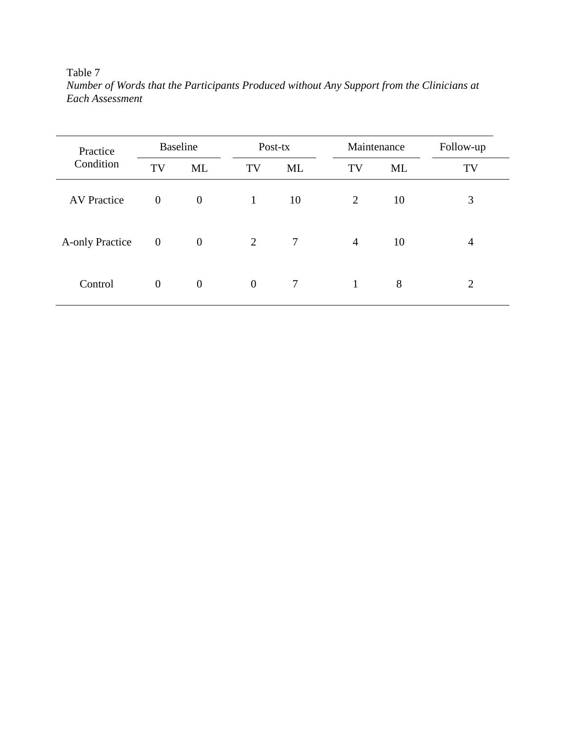Table 7

| Number of Words that the Participants Produced without Any Support from the Clinicians at |  |  |
|-------------------------------------------------------------------------------------------|--|--|
| Each Assessment                                                                           |  |  |

| Practice               | <b>Baseline</b>  |                  |                | Post-tx   |                | Maintenance | Follow-up |
|------------------------|------------------|------------------|----------------|-----------|----------------|-------------|-----------|
| Condition              | TV               | ML               | TV             | <b>ML</b> | TV             | <b>ML</b>   | TV        |
| <b>AV Practice</b>     | $\mathbf{0}$     | $\boldsymbol{0}$ | 1              | 10        | $\overline{2}$ | 10          | 3         |
| <b>A-only Practice</b> | $\boldsymbol{0}$ | $\boldsymbol{0}$ | $\overline{2}$ | 7         | $\overline{4}$ | 10          | 4         |
| Control                | $\boldsymbol{0}$ | $\boldsymbol{0}$ | $\theta$       | 7         | 1              | 8           | 2         |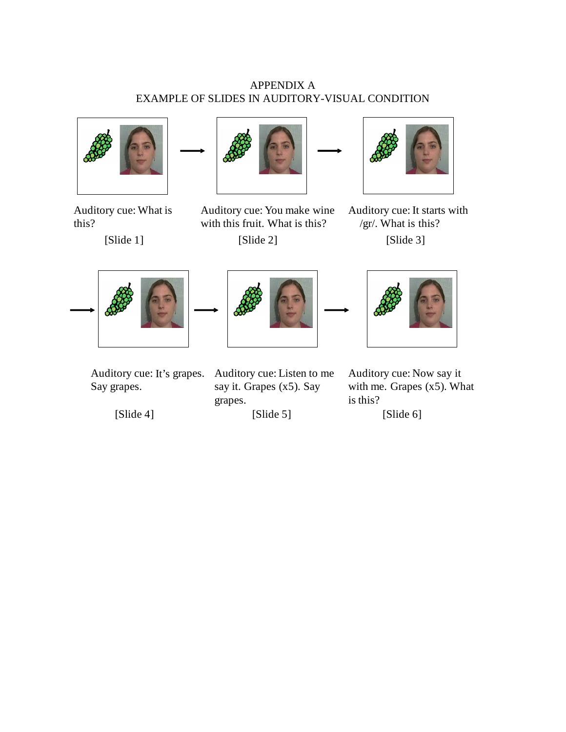## APPENDIX A EXAMPLE OF SLIDES IN AUDITORY-VISUAL CONDITION



Auditory cue: What is this?

[Slide 1]



[Slide 2] Auditory cue: You make wine with this fruit. What is this?



[Slide 3] Auditory cue: It starts with /gr/. What is this?







Auditory cue: It's grapes. Say grapes.

[Slide 4]

Auditory cue: Listen to me say it. Grapes (x5). Say grapes.

[Slide 5]

Auditory cue: Now say it with me. Grapes (x5). What is this?

[Slide 6]